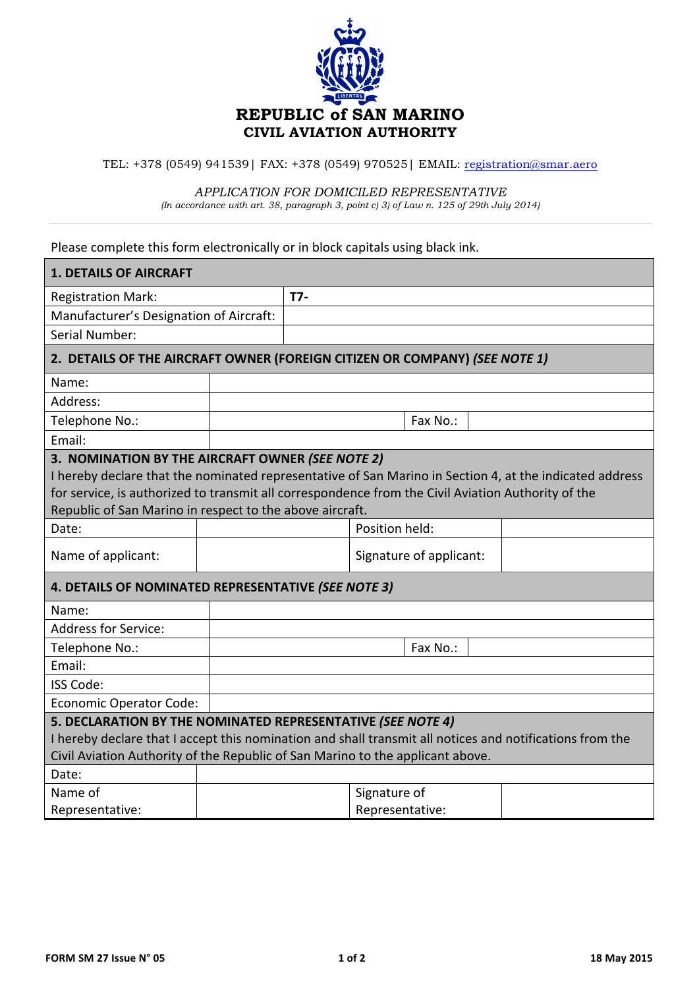

TEL: +378 (0549) 941539 | FAX: +378 (0549) 970525 | EMAIL: registration@smar.aero

## *APPLICATION FOR DOMICILED REPRESENTATIVE*

*(In accordance with art. 38, paragraph 3, point c) 3) of Law n. 125 of 29th July 2014)*

Please complete this form electronically or in block capitals using black ink.

| <b>1. DETAILS OF AIRCRAFT</b>                                                                                                                                                                                                                                                                                                 |  |     |                 |                         |  |  |
|-------------------------------------------------------------------------------------------------------------------------------------------------------------------------------------------------------------------------------------------------------------------------------------------------------------------------------|--|-----|-----------------|-------------------------|--|--|
| <b>Registration Mark:</b>                                                                                                                                                                                                                                                                                                     |  | T7- |                 |                         |  |  |
| Manufacturer's Designation of Aircraft:                                                                                                                                                                                                                                                                                       |  |     |                 |                         |  |  |
| Serial Number:                                                                                                                                                                                                                                                                                                                |  |     |                 |                         |  |  |
| 2. DETAILS OF THE AIRCRAFT OWNER (FOREIGN CITIZEN OR COMPANY) (SEE NOTE 1)                                                                                                                                                                                                                                                    |  |     |                 |                         |  |  |
| Name:                                                                                                                                                                                                                                                                                                                         |  |     |                 |                         |  |  |
| Address:                                                                                                                                                                                                                                                                                                                      |  |     |                 |                         |  |  |
| Telephone No.:                                                                                                                                                                                                                                                                                                                |  |     |                 | Fax No.:                |  |  |
| Email:                                                                                                                                                                                                                                                                                                                        |  |     |                 |                         |  |  |
| 3. NOMINATION BY THE AIRCRAFT OWNER (SEE NOTE 2)<br>I hereby declare that the nominated representative of San Marino in Section 4, at the indicated address<br>for service, is authorized to transmit all correspondence from the Civil Aviation Authority of the<br>Republic of San Marino in respect to the above aircraft. |  |     |                 |                         |  |  |
| Date:                                                                                                                                                                                                                                                                                                                         |  |     | Position held:  |                         |  |  |
| Name of applicant:                                                                                                                                                                                                                                                                                                            |  |     |                 | Signature of applicant: |  |  |
| 4. DETAILS OF NOMINATED REPRESENTATIVE (SEE NOTE 3)                                                                                                                                                                                                                                                                           |  |     |                 |                         |  |  |
| Name:                                                                                                                                                                                                                                                                                                                         |  |     |                 |                         |  |  |
| <b>Address for Service:</b>                                                                                                                                                                                                                                                                                                   |  |     |                 |                         |  |  |
| Telephone No.:                                                                                                                                                                                                                                                                                                                |  |     |                 | Fax No.:                |  |  |
| Email:                                                                                                                                                                                                                                                                                                                        |  |     |                 |                         |  |  |
| <b>ISS Code:</b>                                                                                                                                                                                                                                                                                                              |  |     |                 |                         |  |  |
| <b>Economic Operator Code:</b>                                                                                                                                                                                                                                                                                                |  |     |                 |                         |  |  |
| 5. DECLARATION BY THE NOMINATED REPRESENTATIVE (SEE NOTE 4)                                                                                                                                                                                                                                                                   |  |     |                 |                         |  |  |
| I hereby declare that I accept this nomination and shall transmit all notices and notifications from the                                                                                                                                                                                                                      |  |     |                 |                         |  |  |
| Civil Aviation Authority of the Republic of San Marino to the applicant above.                                                                                                                                                                                                                                                |  |     |                 |                         |  |  |
| Date:                                                                                                                                                                                                                                                                                                                         |  |     |                 |                         |  |  |
| Name of                                                                                                                                                                                                                                                                                                                       |  |     | Signature of    |                         |  |  |
| Representative:                                                                                                                                                                                                                                                                                                               |  |     | Representative: |                         |  |  |